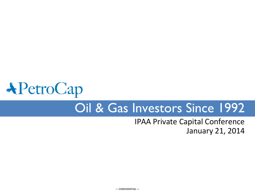# **APetroCap** Oil & Gas Investors Since 1992

### IPAA Private Capital Conference January 21, 2014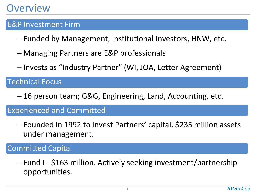### E&P Investment Firm

- Funded by Management, Institutional Investors, HNW, etc.
- Managing Partners are E&P professionals
- Invests as "Industry Partner" (WI, JOA, Letter Agreement)

### Technical Focus

– 16 person team; G&G, Engineering, Land, Accounting, etc.

### Experienced and Committed

– Founded in 1992 to invest Partners' capital. \$235 million assets under management.

### Committed Capital

– Fund I - \$163 million. Actively seeking investment/partnership opportunities.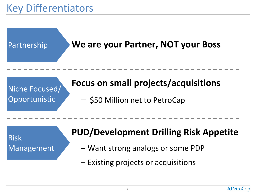# Key Differentiators



Risk Management

### **PUD/Development Drilling Risk Appetite**

- Want strong analogs or some PDP
- Existing projects or acquisitions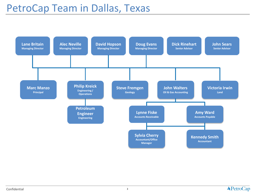# PetroCap Team in Dallas, Texas

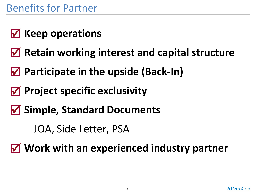- **Ø Keep operations**
- **Retain working interest and capital structure**
- **Participate in the upside (Back-In)**
- **Project specific exclusivity**
- **Simple, Standard Documents**

JOA, Side Letter, PSA

**Work with an experienced industry partner**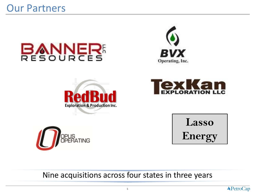# Our Partners













Nine acquisitions across four states in three years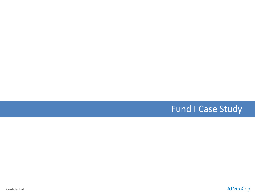### Fund I Case Study

Confidential

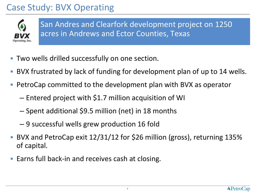# Case Study: BVX Operating



San Andres and Clearfork development project on 1250 acres in Andrews and Ector Counties, Texas

- Two wells drilled successfully on one section.
- BVX frustrated by lack of funding for development plan of up to 14 wells.
- PetroCap committed to the development plan with BVX as operator
	- Entered project with \$1.7 million acquisition of WI
	- Spent additional \$9.5 million (net) in 18 months
	- 9 successful wells grew production 16 fold
- BVX and PetroCap exit 12/31/12 for \$26 million (gross), returning 135% of capital.
- **Earns full back-in and receives cash at closing.**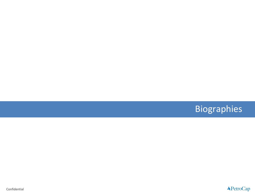# Biographies

Confidential

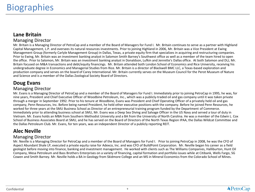#### **Lane Britain**

#### Managing Director

Mr. Britain is a Managing Director of PetroCap and a member of the Board of Managers for Fund I. Mr. Britain continues to serve as a partner with Highland Capital Management, L.P. and oversees its natural resources investments. Prior to joining Highland in 2006, Mr. Britain was a Vice President at Ewing Management Group (formerly Carlyle Management Group) in Dallas, Texas, a private equity firm that specializes in acquiring and restructuring companies. Prior to Ewing, Mr. Britain was an investment banking analyst in Salomon Smith Barney's Southwest office as well as a member of the team hired to open the office. Prior to Salomon, Mr. Britain was an investment banking analyst in Donaldson, Lufkin and Jenrette's Dallas office. At both Salomon and DLJ, Mr. Britain focused on M&A transactions and debt/equity financings. Mr. Britain attended both London School of Economics and Rice University, receiving his undergraduate degree in Economics and Managerial Studies from Rice. Mr. Britain is a director of Blackwell BMC LLC, a Texas-based exploration and production company and serves on the board of Carey International. Mr. Britain currently serves on the Museum Council for the Perot Museum of Nature and Science and is a member of the Dallas Zoological Society Board of Directors.

#### **Doug Evans**

#### Managing Director

Mr. Evans is a Managing Director of PetroCap and a member of the Board of Managers for Fund I. Immediately prior to joining PetroCap in 1995, he was, for nine years, President and Chief Executive Officer of Woodbine Petroleum, Inc., which was a publicly-traded oil and gas company until it was taken private through a merger in September 1992. Prior to his tenure at Woodbine, Evans was President and Chief Operating Officer of a privately held oil and gas company, Penn Resources, Inc. Before being named President, he held other executive positions with the company. Before he joined Penn Resources, he worked for three years at the SMU Business School as Director of an entrepreneurial training program funded by the Department of Commerce. Immediately prior to attending business school at SMU, Mr. Evans was a Deep Sea Diving and Salvage Officer in the US Navy and served a tour of duty in Vietnam. Mr. Evans holds an MBA from Southern Methodist University and a BA from the University of North Carolina. He was a member of the Edwin L. Cox School of Business Associates Board at SMU, and he has served on the Board of Directors of the North Texas Region IPAA, the Dallas Wildcat Committee and the Dallas Petroleum Club. Mr. Evans, for ten years, was an independent Director of a publicly reporting REIT.

#### **Alec Neville**

#### Managing Director

Mr. Neville is a Managing Director for PetroCap and a member of the Board of Managers for Fund I. Prior to joining PetroCap in 2008, he was the CFO of Aspect Abundant Shale LP, executed a private equity raise for Adexco, Inc. and was CFO of BuildPoint Corporation. Mr. Neville began his career as a field geologist before moving into finance, banking and investment management. He worked with clients such as The Williams Companies, Halliburton, Hunt Oil Company, Mesa Petroleum and Bass Brothers Enterprises on a variety of financing, capital formation and portfolio issues while at Citibank, Wells Fargo, SG Cowen and Smith Barney. Mr. Neville holds a BA in Geology from Skidmore College and an MS in Mineral Economics from the Colorado School of Mines.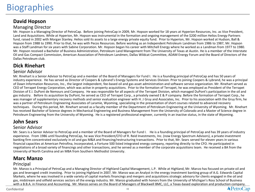### Biographies

#### **David Hopson**

#### Managing Director

Mr. Hopson is a Managing Director of PetroCap. Before joining PetroCap in 2009, Mr. Hopson worked for 18 years at Hyperion Resources, Inc. as Vice President, Land and Acquisitions. While at Hyperion, Mr. Hopson was instrumental in the formation and ongoing management of the \$200 million Helios Energy Partners fund, raised in 2002 with Morgan Stanley. Helios sold its assets to a large energy private equity fund. Prior to Hyperion, Mr. Hopson worked at Hudson, Ball & Hopson from 1988 to 1990. Prior to that, he was with Pecos Resources. Before working as an Independent Petroleum Landman from 1986 to 1987, Mr. Hopson was a Staff Landman for six years with Sabine Corporation. Mr. Hopson began his career with Mitchell Energy where he worked as a Landman from 1977 to 1980. Mr. Hopson received a Bachelor of Business Administration, Petroleum Land Management from The University of Texas at Austin. He is a member of the Interstate Oil and Gas Compact Commission, American Association of Petroleum Landmen, Dallas Wildcat Committee, ADAM Energy Forum and the Board of Directors of the Dallas Petroleum club.

#### **Dick Rinehart**

#### Senior Advisor

Mr. Rinehart is a Senior Advisor to PetroCap and a member of the Board of Managers for Fund I. He is a founding principal of PetroCap and has 50 years of industry experience. He has served as Director of Coopers & Lybrand's Energy Systems and Services Division. Prior to joining Coopers & Lybrand, he was a principal of Dawn Information Resources, Inc., the largest independent, fee-based oil and gas asset administration and software service organization. Mr. Rinehart served as CEO of Terrapet Energy Corporation, which was active in property acquisitions. Prior to the formation of Terrapet, he was employed as President of the Terrapet Division of E.I. DuPont de Nemours and Company. He was responsible for all aspects of the Terrapet Division, which managed DuPont's participation in the oil and gas industry. Before its acquisition by DuPont, he served as CEO of Terrapet Corp., a privately owned E & P company. Before the formation of Terrapet Corp., he was manager of supplementary recovery methods and senior evaluation engineer with H. J Gruy and Associates, Inc. Prior to his association with the Gruy firm, he was a partner of Petroleum Engineering Associates of Laramie, Wyoming, specializing in the presentation of short courses related to advanced recovery techniques. During this period, Mr. Rinehart served as a faculty member of the Department of Petroleum Engineering at the University of Wyoming. Mr. Rinehart has received Bachelor of Science degrees in Mechanical Engineering and Business Management from the University of Colorado and a Master of Science degree in Petroleum Engineering from the University of Wyoming. He is a registered professional engineer, currently in an inactive status, in the state of Wyoming.

#### **John Sears**

#### Senior Advisor

Mr. Sears is a Senior Advisor to PetroCap and a member of the Board of Managers for Fund I. He is a founding principal of PetroCap and has 39 years of industry experience. From 1986 until founding PetroCap, he was Vice President/CFO of R. Reid Investments, Inc. (now Energy Spectrum Advisors), a private investment banking firm concentrated exclusively in oil and gas M&A and financing/restructuring transactions. Prior to that, Mr. Sears served for eleven years in various financial capacities at American Petrofina, Incorporated, a Fortune 500 listed integrated energy company, reporting directly to the CFO. He participated in negotiations of a broad variety of financings and other transactions, and he served as a member of the corporate acquisitions team. He received a BA from the University of North Carolina and an MBA from Southern Methodist University.

#### **Marc Manzo**

#### Principal

Mr. Manzo is a Principal of PetroCap and a Managing Director of Highland Capital Management, L.P. While at Highland, Mr. Manzo has focused on private oil and gas and leveraged credit investing. Prior to joining Highland in 2007, Mr. Manzo was an Analyst in the energy investment banking group of A.G. Edwards Capital Markets, where he was involved in a wide variety of capital markets financings and mergers and acquisitions strategic advisory for clients engaged in the oil and gas, midstream and oilfield services sectors of the energy industry. Mr. Manzo graduated with honors from the University of Michigan's Ross School of Business with a B.B.A. in Finance and Accounting. Mr. Manzo serves on the Board of Managers of Blackwell BMC, LLC, a Texas-based exploration and production company.

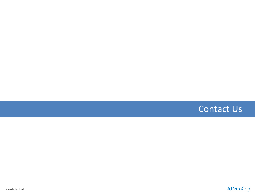

Confidential